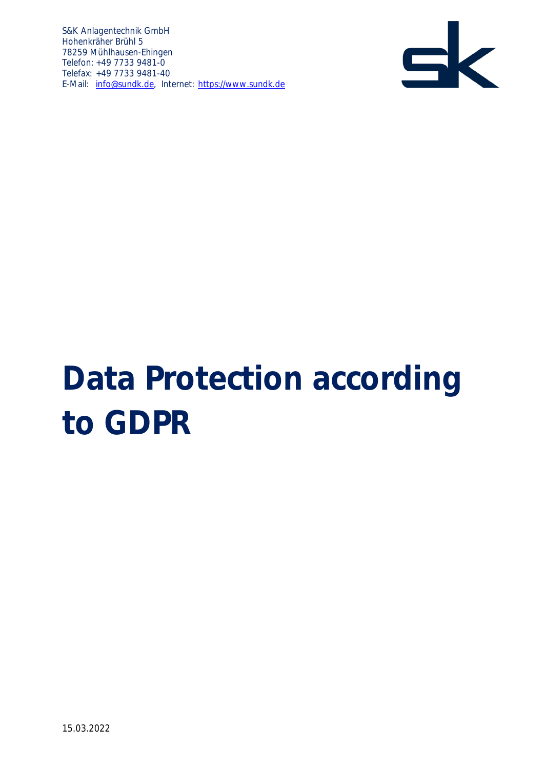

# **Data Protection according to GDPR**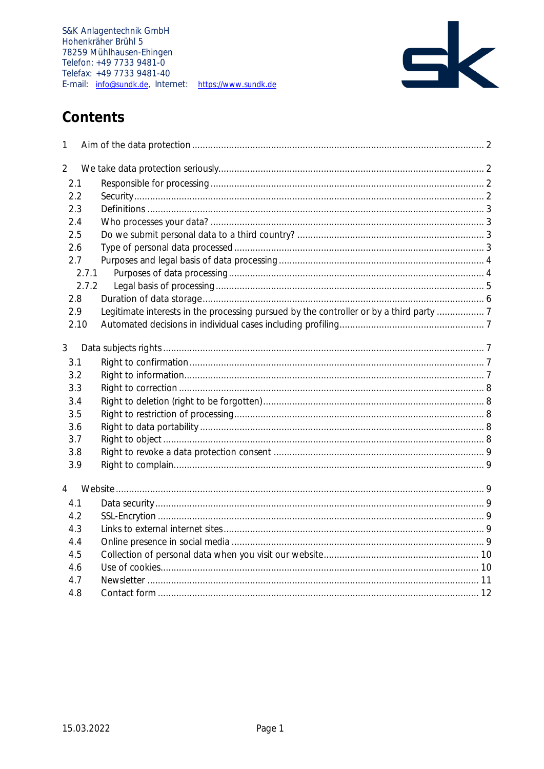

# Contents

| 1              |                                                                                      |  |
|----------------|--------------------------------------------------------------------------------------|--|
| $\overline{2}$ |                                                                                      |  |
| 2.1            |                                                                                      |  |
| 2.2            |                                                                                      |  |
| 2.3            |                                                                                      |  |
| 2.4            |                                                                                      |  |
| 2.5            |                                                                                      |  |
| 2.6            |                                                                                      |  |
| 2.7            |                                                                                      |  |
|                | 2.7.1                                                                                |  |
|                | 2.7.2                                                                                |  |
| 2.8            |                                                                                      |  |
| 2.9            | Legitimate interests in the processing pursued by the controller or by a third party |  |
| 2.10           |                                                                                      |  |
| 3              |                                                                                      |  |
| 3.1            |                                                                                      |  |
| 3.2            |                                                                                      |  |
| 3.3            |                                                                                      |  |
| 3.4            |                                                                                      |  |
| 3.5            |                                                                                      |  |
| 3.6            |                                                                                      |  |
| 3.7            |                                                                                      |  |
| 3.8            |                                                                                      |  |
| 3.9            |                                                                                      |  |
| $\overline{4}$ |                                                                                      |  |
| 4.1            |                                                                                      |  |
| 4.2            |                                                                                      |  |
| 4.3            |                                                                                      |  |
| 4.4            |                                                                                      |  |
| 4.5            |                                                                                      |  |
| 4.6            |                                                                                      |  |
| 4.7            |                                                                                      |  |
| 4.8            |                                                                                      |  |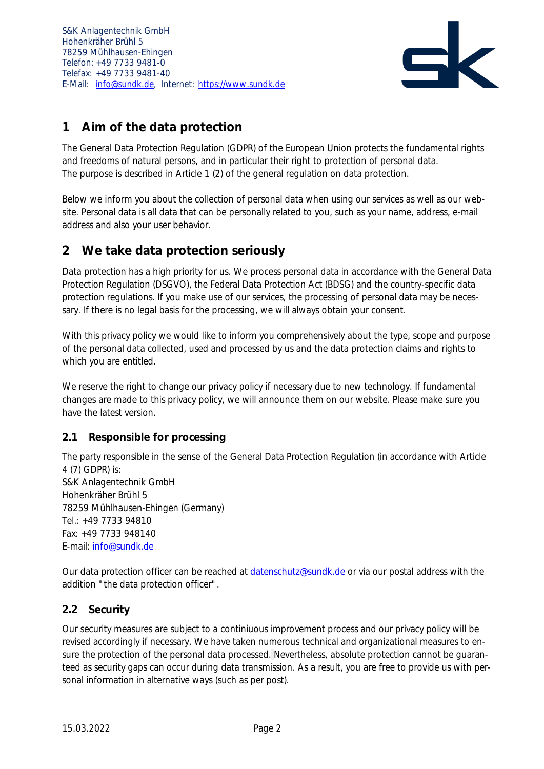

# <span id="page-2-0"></span>**1 Aim of the data protection**

The General Data Protection Regulation (GDPR) of the European Union protects the fundamental rights and freedoms of natural persons, and in particular their right to protection of personal data. The purpose is described in Article 1 (2) of the general regulation on data protection.

Below we inform you about the collection of personal data when using our services as well as our website. Personal data is all data that can be personally related to you, such as your name, address, e-mail address and also your user behavior.

## <span id="page-2-1"></span>**2 We take data protection seriously**

Data protection has a high priority for us. We process personal data in accordance with the General Data Protection Regulation (DSGVO), the Federal Data Protection Act (BDSG) and the country-specific data protection regulations. If you make use of our services, the processing of personal data may be necessary. If there is no legal basis for the processing, we will always obtain your consent.

With this privacy policy we would like to inform you comprehensively about the type, scope and purpose of the personal data collected, used and processed by us and the data protection claims and rights to which you are entitled.

We reserve the right to change our privacy policy if necessary due to new technology. If fundamental changes are made to this privacy policy, we will announce them on our website. Please make sure you have the latest version.

## <span id="page-2-2"></span>**2.1 Responsible for processing**

The party responsible in the sense of the General Data Protection Regulation (in accordance with Article 4 (7) GDPR) is: S&K Anlagentechnik GmbH Hohenkräher Brühl 5 78259 Mühlhausen-Ehingen (Germany) Tel.: +49 7733 94810 Fax: +49 7733 948140 E-mail: [info@sundk.de](mailto:info@sundk.de)

Our data protection officer can be reached at [datenschutz@sundk.de](mailto:datenschutz@sundk.de) or via our postal address with the addition "the data protection officer".

## <span id="page-2-3"></span>**2.2 Security**

Our security measures are subject to a continiuous improvement process and our privacy policy will be revised accordingly if necessary. We have taken numerous technical and organizational measures to ensure the protection of the personal data processed. Nevertheless, absolute protection cannot be guaranteed as security gaps can occur during data transmission. As a result, you are free to provide us with personal information in alternative ways (such as per post).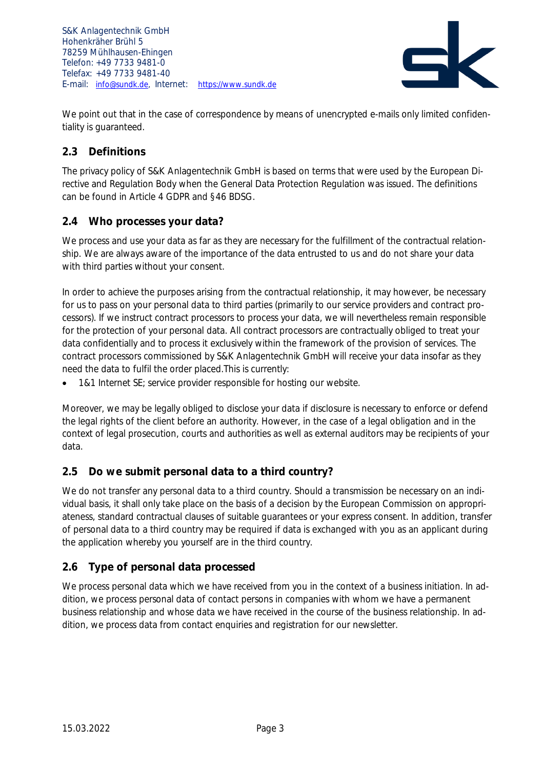

We point out that in the case of correspondence by means of unencrypted e-mails only limited confidentiality is guaranteed.

#### <span id="page-3-0"></span>**2.3 Definitions**

The privacy policy of S&K Anlagentechnik GmbH is based on terms that were used by the European Directive and Regulation Body when the General Data Protection Regulation was issued. The definitions can be found in Article 4 GDPR and §46 BDSG.

#### <span id="page-3-1"></span>**2.4 Who processes your data?**

We process and use your data as far as they are necessary for the fulfillment of the contractual relationship. We are always aware of the importance of the data entrusted to us and do not share your data with third parties without your consent.

In order to achieve the purposes arising from the contractual relationship, it may however, be necessary for us to pass on your personal data to third parties (primarily to our service providers and contract processors). If we instruct contract processors to process your data, we will nevertheless remain responsible for the protection of your personal data. All contract processors are contractually obliged to treat your data confidentially and to process it exclusively within the framework of the provision of services. The contract processors commissioned by S&K Anlagentechnik GmbH will receive your data insofar as they need the data to fulfil the order placed.This is currently:

• 1&1 Internet SE; service provider responsible for hosting our website.

Moreover, we may be legally obliged to disclose your data if disclosure is necessary to enforce or defend the legal rights of the client before an authority. However, in the case of a legal obligation and in the context of legal prosecution, courts and authorities as well as external auditors may be recipients of your data.

## <span id="page-3-2"></span>**2.5 Do we submit personal data to a third country?**

We do not transfer any personal data to a third country. Should a transmission be necessary on an individual basis, it shall only take place on the basis of a decision by the European Commission on appropriateness, standard contractual clauses of suitable guarantees or your express consent. In addition, transfer of personal data to a third country may be required if data is exchanged with you as an applicant during the application whereby you yourself are in the third country.

## <span id="page-3-3"></span>**2.6 Type of personal data processed**

We process personal data which we have received from you in the context of a business initiation. In addition, we process personal data of contact persons in companies with whom we have a permanent business relationship and whose data we have received in the course of the business relationship. In addition, we process data from contact enquiries and registration for our newsletter.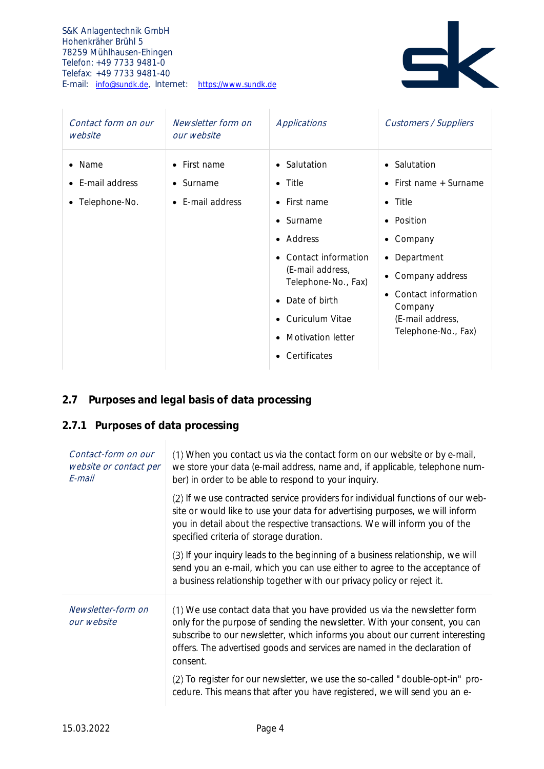

| Contact form on our<br>website                                      | Newsletter form on<br>our website                                           | Applications                                                                                                                                                                                                                                                                                                                     | <b>Customers / Suppliers</b>                                                                                                                                                                           |
|---------------------------------------------------------------------|-----------------------------------------------------------------------------|----------------------------------------------------------------------------------------------------------------------------------------------------------------------------------------------------------------------------------------------------------------------------------------------------------------------------------|--------------------------------------------------------------------------------------------------------------------------------------------------------------------------------------------------------|
| Name<br>$\bullet$<br>• E-mail address<br>Telephone-No.<br>$\bullet$ | First name<br>$\bullet$<br>$\bullet$ Surname<br>E-mail address<br>$\bullet$ | • Salutation<br>Title<br>$\bullet$<br>First name<br>$\bullet$<br>Surname<br>$\bullet$<br>Address<br>$\bullet$<br>Contact information<br>$\bullet$<br>(E-mail address,<br>Telephone-No., Fax)<br>Date of birth<br>$\bullet$<br>Curiculum Vitae<br>$\bullet$<br><b>Motivation letter</b><br>$\bullet$<br>Certificates<br>$\bullet$ | • Salutation<br>• First name + Surname<br>$\bullet$ Title<br>• Position<br>• Company<br>• Department<br>• Company address<br>Contact information<br>Company<br>(E-mail address,<br>Telephone-No., Fax) |

## <span id="page-4-0"></span>**2.7 Purposes and legal basis of data processing**

## <span id="page-4-1"></span>**2.7.1 Purposes of data processing**

| Contact-form on our<br>website or contact per<br>F-mail | (1) When you contact us via the contact form on our website or by e-mail,<br>we store your data (e-mail address, name and, if applicable, telephone num-<br>ber) in order to be able to respond to your inquiry.                                                                                                                 |  |  |  |
|---------------------------------------------------------|----------------------------------------------------------------------------------------------------------------------------------------------------------------------------------------------------------------------------------------------------------------------------------------------------------------------------------|--|--|--|
|                                                         | (2) If we use contracted service providers for individual functions of our web-<br>site or would like to use your data for advertising purposes, we will inform<br>you in detail about the respective transactions. We will inform you of the<br>specified criteria of storage duration.                                         |  |  |  |
|                                                         | (3) If your inquiry leads to the beginning of a business relationship, we will<br>send you an e-mail, which you can use either to agree to the acceptance of<br>a business relationship together with our privacy policy or reject it.                                                                                           |  |  |  |
| Newsletter-form on<br>our website                       | (1) We use contact data that you have provided us via the newsletter form<br>only for the purpose of sending the newsletter. With your consent, you can<br>subscribe to our newsletter, which informs you about our current interesting<br>offers. The advertised goods and services are named in the declaration of<br>consent. |  |  |  |
|                                                         | (2) To register for our newsletter, we use the so-called "double-opt-in" pro-<br>cedure. This means that after you have registered, we will send you an e-                                                                                                                                                                       |  |  |  |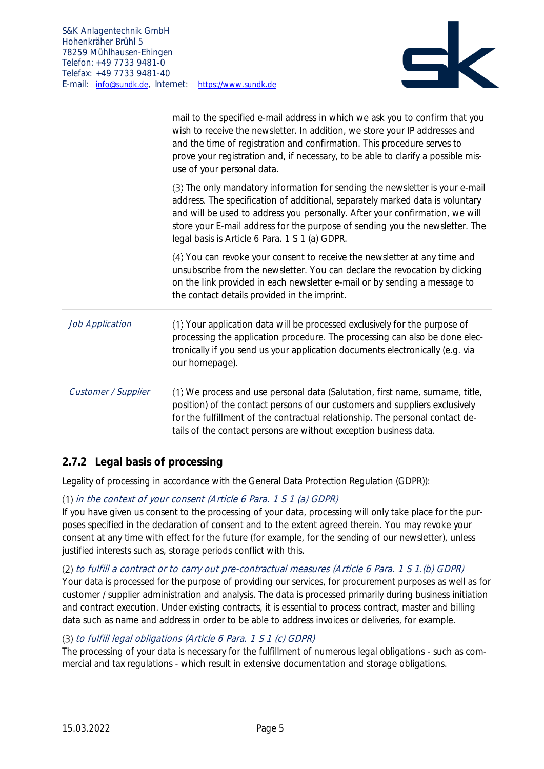

|                     | mail to the specified e-mail address in which we ask you to confirm that you<br>wish to receive the newsletter. In addition, we store your IP addresses and<br>and the time of registration and confirmation. This procedure serves to<br>prove your registration and, if necessary, to be able to clarify a possible mis-<br>use of your personal data.                        |
|---------------------|---------------------------------------------------------------------------------------------------------------------------------------------------------------------------------------------------------------------------------------------------------------------------------------------------------------------------------------------------------------------------------|
|                     | (3) The only mandatory information for sending the newsletter is your e-mail<br>address. The specification of additional, separately marked data is voluntary<br>and will be used to address you personally. After your confirmation, we will<br>store your E-mail address for the purpose of sending you the newsletter. The<br>legal basis is Article 6 Para. 1 S 1 (a) GDPR. |
|                     | (4) You can revoke your consent to receive the newsletter at any time and<br>unsubscribe from the newsletter. You can declare the revocation by clicking<br>on the link provided in each newsletter e-mail or by sending a message to<br>the contact details provided in the imprint.                                                                                           |
| Job Application     | (1) Your application data will be processed exclusively for the purpose of<br>processing the application procedure. The processing can also be done elec-<br>tronically if you send us your application documents electronically (e.g. via<br>our homepage).                                                                                                                    |
| Customer / Supplier | (1) We process and use personal data (Salutation, first name, surname, title,<br>position) of the contact persons of our customers and suppliers exclusively<br>for the fulfillment of the contractual relationship. The personal contact de-<br>tails of the contact persons are without exception business data.                                                              |

## <span id="page-5-0"></span>**2.7.2 Legal basis of processing**

Legality of processing in accordance with the General Data Protection Regulation (GDPR)):

#### in the context of your consent (Article 6 Para. 1 S 1 (a) GDPR)

If you have given us consent to the processing of your data, processing will only take place for the purposes specified in the declaration of consent and to the extent agreed therein. You may revoke your consent at any time with effect for the future (for example, for the sending of our newsletter), unless justified interests such as, storage periods conflict with this.

#### (2) to fulfill a contract or to carry out pre-contractual measures (Article 6 Para. 1 S 1.(b) GDPR)

Your data is processed for the purpose of providing our services, for procurement purposes as well as for customer / supplier administration and analysis. The data is processed primarily during business initiation and contract execution. Under existing contracts, it is essential to process contract, master and billing data such as name and address in order to be able to address invoices or deliveries, for example.

#### to fulfill legal obligations (Article 6 Para. 1 S 1 (c) GDPR)

The processing of your data is necessary for the fulfillment of numerous legal obligations - such as commercial and tax regulations - which result in extensive documentation and storage obligations.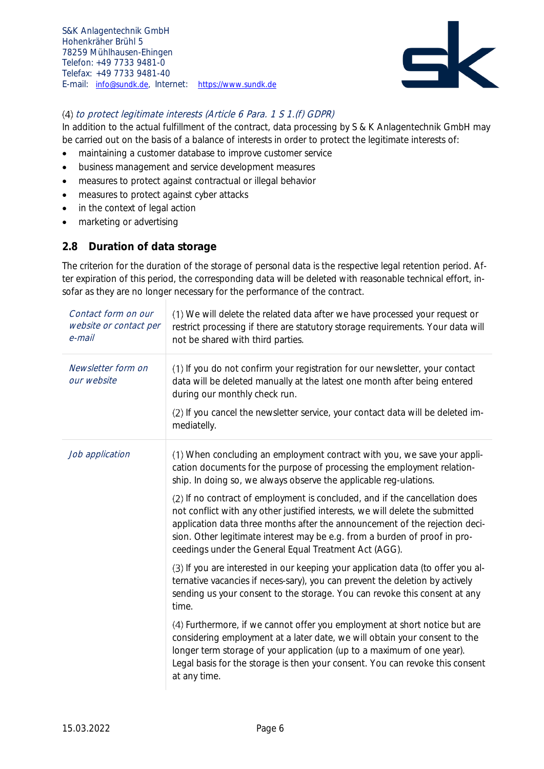

#### to protect legitimate interests (Article 6 Para. 1 S 1.(f) GDPR)

In addition to the actual fulfillment of the contract, data processing by S & K Anlagentechnik GmbH may be carried out on the basis of a balance of interests in order to protect the legitimate interests of:

- maintaining a customer database to improve customer service
- business management and service development measures
- measures to protect against contractual or illegal behavior
- measures to protect against cyber attacks
- in the context of legal action
- marketing or advertising

#### <span id="page-6-0"></span>**2.8 Duration of data storage**

The criterion for the duration of the storage of personal data is the respective legal retention period. After expiration of this period, the corresponding data will be deleted with reasonable technical effort, insofar as they are no longer necessary for the performance of the contract.

| Contact form on our<br>website or contact per<br>e-mail | (1) We will delete the related data after we have processed your request or<br>restrict processing if there are statutory storage requirements. Your data will<br>not be shared with third parties.                                                                                                                                                                                |  |  |
|---------------------------------------------------------|------------------------------------------------------------------------------------------------------------------------------------------------------------------------------------------------------------------------------------------------------------------------------------------------------------------------------------------------------------------------------------|--|--|
| Newsletter form on<br>our website                       | (1) If you do not confirm your registration for our newsletter, your contact<br>data will be deleted manually at the latest one month after being entered<br>during our monthly check run.                                                                                                                                                                                         |  |  |
|                                                         | (2) If you cancel the newsletter service, your contact data will be deleted im-<br>mediatelly.                                                                                                                                                                                                                                                                                     |  |  |
| Job application                                         | (1) When concluding an employment contract with you, we save your appli-<br>cation documents for the purpose of processing the employment relation-<br>ship. In doing so, we always observe the applicable reg-ulations.                                                                                                                                                           |  |  |
|                                                         | (2) If no contract of employment is concluded, and if the cancellation does<br>not conflict with any other justified interests, we will delete the submitted<br>application data three months after the announcement of the rejection deci-<br>sion. Other legitimate interest may be e.g. from a burden of proof in pro-<br>ceedings under the General Equal Treatment Act (AGG). |  |  |
|                                                         | (3) If you are interested in our keeping your application data (to offer you al-<br>ternative vacancies if neces-sary), you can prevent the deletion by actively<br>sending us your consent to the storage. You can revoke this consent at any<br>time.                                                                                                                            |  |  |
|                                                         | (4) Furthermore, if we cannot offer you employment at short notice but are<br>considering employment at a later date, we will obtain your consent to the<br>longer term storage of your application (up to a maximum of one year).<br>Legal basis for the storage is then your consent. You can revoke this consent<br>at any time.                                                |  |  |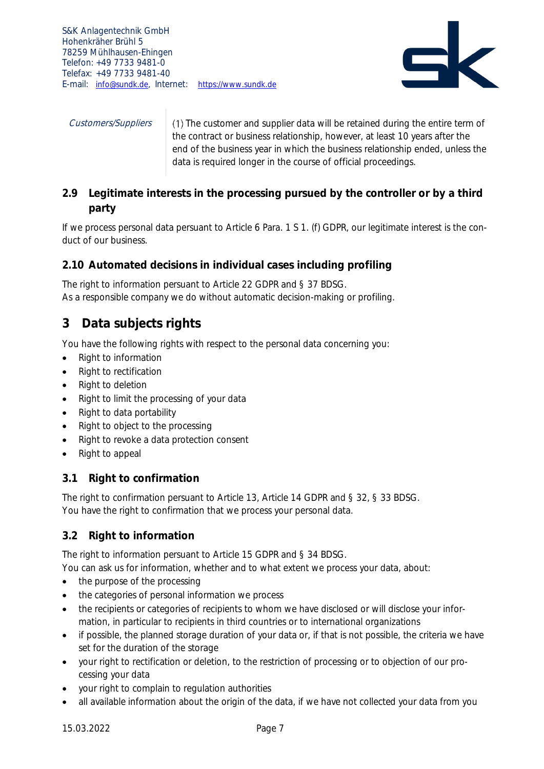

*Customers/Suppliers*  $\vert$  (1) The customer and supplier data will be retained during the entire term of the contract or business relationship, however, at least 10 years after the end of the business year in which the business relationship ended, unless the data is required longer in the course of official proceedings.

## <span id="page-7-0"></span>**2.9 Legitimate interests in the processing pursued by the controller or by a third party**

If we process personal data persuant to Article 6 Para. 1 S 1. (f) GDPR, our legitimate interest is the conduct of our business.

## <span id="page-7-1"></span>**2.10 Automated decisions in individual cases including profiling**

The right to information persuant to Article 22 GDPR and § 37 BDSG. As a responsible company we do without automatic decision-making or profiling.

# <span id="page-7-2"></span>**3 Data subjects rights**

You have the following rights with respect to the personal data concerning you:

- Right to information
- Right to rectification
- Right to deletion
- Right to limit the processing of your data
- Right to data portability
- Right to object to the processing
- Right to revoke a data protection consent
- Right to appeal

## <span id="page-7-3"></span>**3.1 Right to confirmation**

The right to confirmation persuant to Article 13, Article 14 GDPR and § 32, § 33 BDSG. You have the right to confirmation that we process your personal data.

## <span id="page-7-4"></span>**3.2 Right to information**

The right to information persuant to Article 15 GDPR and § 34 BDSG.

You can ask us for information, whether and to what extent we process your data, about:

- the purpose of the processing
- the categories of personal information we process
- the recipients or categories of recipients to whom we have disclosed or will disclose your information, in particular to recipients in third countries or to international organizations
- if possible, the planned storage duration of your data or, if that is not possible, the criteria we have set for the duration of the storage
- your right to rectification or deletion, to the restriction of processing or to objection of our processing your data
- your right to complain to regulation authorities
- all available information about the origin of the data, if we have not collected your data from you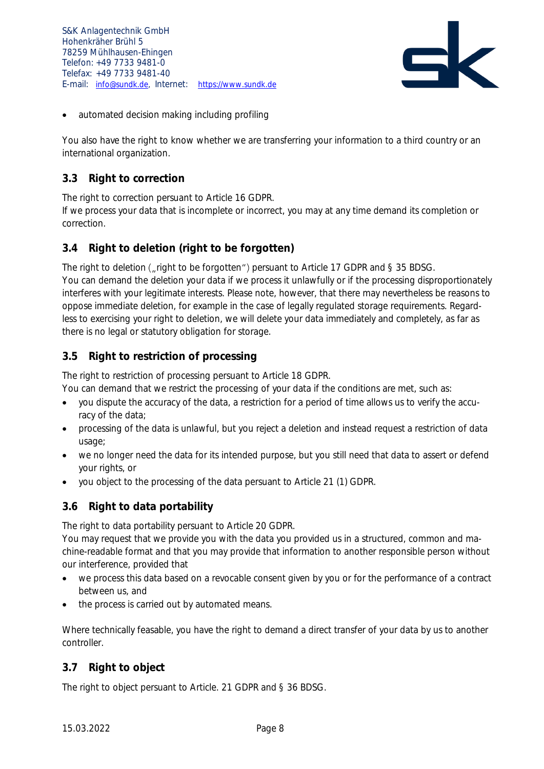

• automated decision making including profiling

You also have the right to know whether we are transferring your information to a third country or an international organization.

## <span id="page-8-0"></span>**3.3 Right to correction**

The right to correction persuant to Article 16 GDPR.

If we process your data that is incomplete or incorrect, you may at any time demand its completion or correction.

## <span id="page-8-1"></span>**3.4 Right to deletion (right to be forgotten)**

The right to deletion ("right to be forgotten") persuant to Article 17 GDPR and § 35 BDSG. You can demand the deletion your data if we process it unlawfully or if the processing disproportionately interferes with your legitimate interests. Please note, however, that there may nevertheless be reasons to oppose immediate deletion, for example in the case of legally regulated storage requirements. Regardless to exercising your right to deletion, we will delete your data immediately and completely, as far as there is no legal or statutory obligation for storage.

## <span id="page-8-2"></span>**3.5 Right to restriction of processing**

The right to restriction of processing persuant to Article 18 GDPR.

You can demand that we restrict the processing of your data if the conditions are met, such as:

- you dispute the accuracy of the data, a restriction for a period of time allows us to verify the accuracy of the data;
- processing of the data is unlawful, but you reject a deletion and instead request a restriction of data usage;
- we no longer need the data for its intended purpose, but you still need that data to assert or defend your rights, or
- you object to the processing of the data persuant to Article 21 (1) GDPR.

## <span id="page-8-3"></span>**3.6 Right to data portability**

The right to data portability persuant to Article 20 GDPR.

You may request that we provide you with the data you provided us in a structured, common and machine-readable format and that you may provide that information to another responsible person without our interference, provided that

- we process this data based on a revocable consent given by you or for the performance of a contract between us, and
- the process is carried out by automated means.

Where technically feasable, you have the right to demand a direct transfer of your data by us to another controller.

## <span id="page-8-4"></span>**3.7 Right to object**

The right to object persuant to Article. 21 GDPR and § 36 BDSG.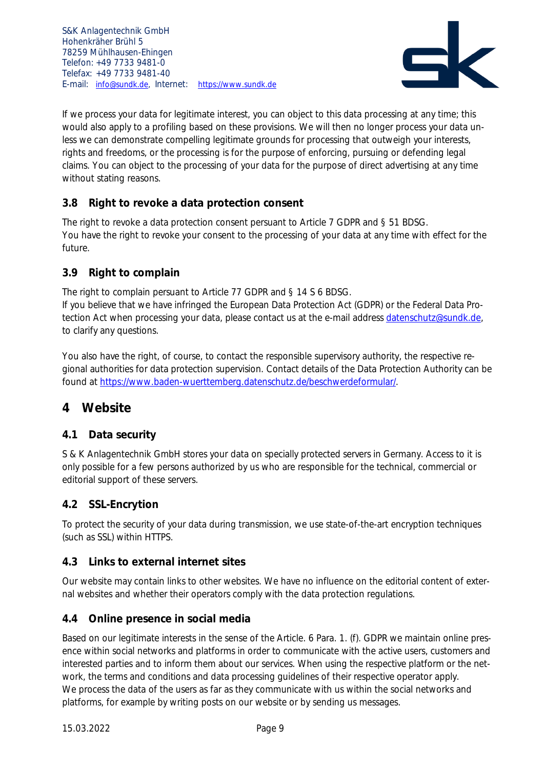

If we process your data for legitimate interest, you can object to this data processing at any time; this would also apply to a profiling based on these provisions. We will then no longer process your data unless we can demonstrate compelling legitimate grounds for processing that outweigh your interests, rights and freedoms, or the processing is for the purpose of enforcing, pursuing or defending legal claims. You can object to the processing of your data for the purpose of direct advertising at any time without stating reasons.

## <span id="page-9-0"></span>**3.8 Right to revoke a data protection consent**

The right to revoke a data protection consent persuant to Article 7 GDPR and § 51 BDSG. You have the right to revoke your consent to the processing of your data at any time with effect for the future.

## <span id="page-9-1"></span>**3.9 Right to complain**

The right to complain persuant to Article 77 GDPR and § 14 S 6 BDSG.

If you believe that we have infringed the European Data Protection Act (GDPR) or the Federal Data Protection Act when processing your data, please contact us at the e-mail address [datenschutz@sundk.de,](mailto:datenschutz@sundk.de) to clarify any questions.

You also have the right, of course, to contact the responsible supervisory authority, the respective regional authorities for data protection supervision. Contact details of the Data Protection Authority can be found at [https://www.baden-wuerttemberg.datenschutz.de/beschwerdeformular/.](https://www.baden-wuerttemberg.datenschutz.de/beschwerdeformular/)

## <span id="page-9-2"></span>**4 Website**

## <span id="page-9-3"></span>**4.1 Data security**

S & K Anlagentechnik GmbH stores your data on specially protected servers in Germany. Access to it is only possible for a few persons authorized by us who are responsible for the technical, commercial or editorial support of these servers.

#### <span id="page-9-4"></span>**4.2 SSL-Encrytion**

To protect the security of your data during transmission, we use state-of-the-art encryption techniques (such as SSL) within HTTPS.

#### <span id="page-9-5"></span>**4.3 Links to external internet sites**

Our website may contain links to other websites. We have no influence on the editorial content of external websites and whether their operators comply with the data protection regulations.

## <span id="page-9-6"></span>**4.4 Online presence in social media**

Based on our legitimate interests in the sense of the Article. 6 Para. 1. (f). GDPR we maintain online presence within social networks and platforms in order to communicate with the active users, customers and interested parties and to inform them about our services. When using the respective platform or the network, the terms and conditions and data processing guidelines of their respective operator apply. We process the data of the users as far as they communicate with us within the social networks and platforms, for example by writing posts on our website or by sending us messages.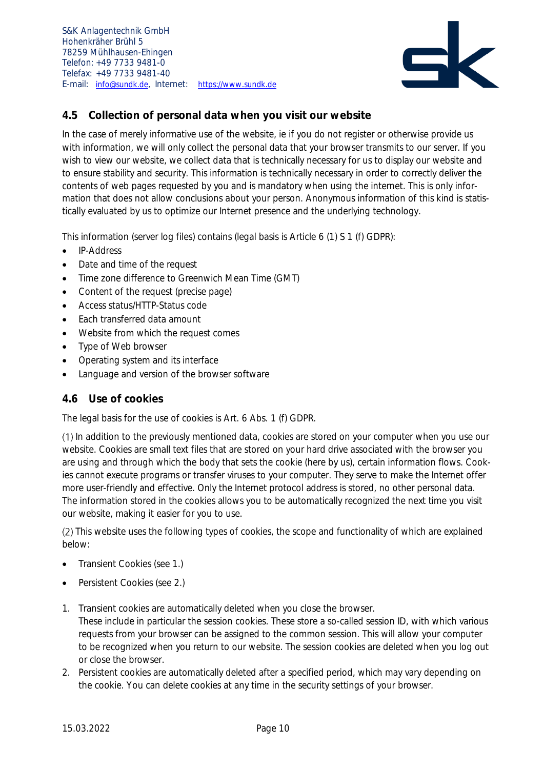

## <span id="page-10-0"></span>**4.5 Collection of personal data when you visit our website**

In the case of merely informative use of the website, ie if you do not register or otherwise provide us with information, we will only collect the personal data that your browser transmits to our server. If you wish to view our website, we collect data that is technically necessary for us to display our website and to ensure stability and security. This information is technically necessary in order to correctly deliver the contents of web pages requested by you and is mandatory when using the internet. This is only information that does not allow conclusions about your person. Anonymous information of this kind is statistically evaluated by us to optimize our Internet presence and the underlying technology.

This information (server log files) contains (legal basis is Article 6 (1) S 1 (f) GDPR):

- IP-Address
- Date and time of the request
- Time zone difference to Greenwich Mean Time (GMT)
- Content of the request (precise page)
- Access status/HTTP-Status code
- Each transferred data amount
- Website from which the request comes
- Type of Web browser
- Operating system and its interface
- Language and version of the browser software

#### <span id="page-10-1"></span>**4.6 Use of cookies**

The legal basis for the use of cookies is Art. 6 Abs. 1 (f) GDPR.

In addition to the previously mentioned data, cookies are stored on your computer when you use our website. Cookies are small text files that are stored on your hard drive associated with the browser you are using and through which the body that sets the cookie (here by us), certain information flows. Cookies cannot execute programs or transfer viruses to your computer. They serve to make the Internet offer more user-friendly and effective. Only the Internet protocol address is stored, no other personal data. The information stored in the cookies allows you to be automatically recognized the next time you visit our website, making it easier for you to use.

(2) This website uses the following types of cookies, the scope and functionality of which are explained below:

- Transient Cookies (see [1.](#page-10-2))
- Persistent Cookies (see [2.](#page-10-3))
- <span id="page-10-2"></span>1. Transient cookies are automatically deleted when you close the browser. These include in particular the session cookies. These store a so-called session ID, with which various requests from your browser can be assigned to the common session. This will allow your computer to be recognized when you return to our website. The session cookies are deleted when you log out or close the browser.
- <span id="page-10-3"></span>2. Persistent cookies are automatically deleted after a specified period, which may vary depending on the cookie. You can delete cookies at any time in the security settings of your browser.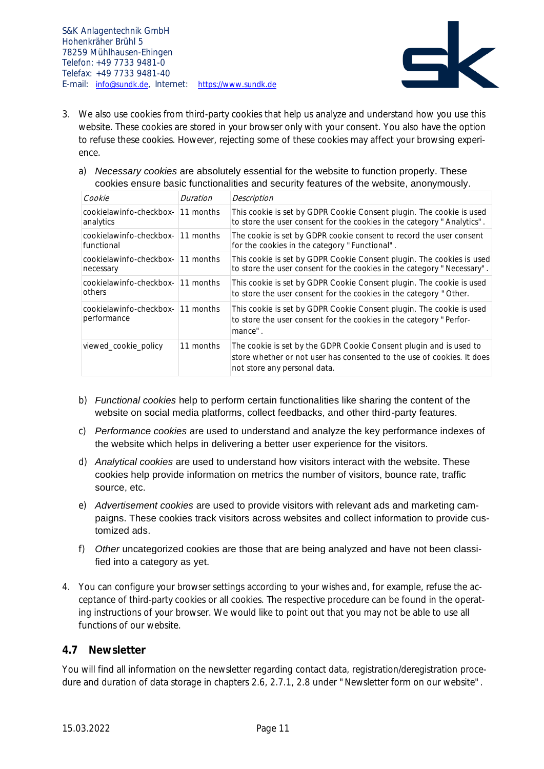

- 3. We also use cookies from third-party cookies that help us analyze and understand how you use this website. These cookies are stored in your browser only with your consent. You also have the option to refuse these cookies. However, rejecting some of these cookies may affect your browsing experience.
	- a) *Necessary cookies* are absolutely essential for the website to function properly. These cookies ensure basic functionalities and security features of the website, anonymously.

| Cookie                                         | Duration          | Description                                                                                                                                                                  |
|------------------------------------------------|-------------------|------------------------------------------------------------------------------------------------------------------------------------------------------------------------------|
| cookielawinfo-checkbox-<br>analytics           | 11 months         | This cookie is set by GDPR Cookie Consent plugin. The cookie is used<br>to store the user consent for the cookies in the category "Analytics".                               |
| cookielawinfo-checkbox-<br>functional          | $\vert$ 11 months | The cookie is set by GDPR cookie consent to record the user consent<br>for the cookies in the category "Functional".                                                         |
| cookielawinfo-checkbox- 11 months<br>necessary |                   | This cookie is set by GDPR Cookie Consent plugin. The cookies is used<br>to store the user consent for the cookies in the category "Necessary".                              |
| cookielawinfo-checkbox-<br>others              | $\vert$ 11 months | This cookie is set by GDPR Cookie Consent plugin. The cookie is used<br>to store the user consent for the cookies in the category "Other.                                    |
| cookielawinfo-checkbox-<br>performance         | $11$ months       | This cookie is set by GDPR Cookie Consent plugin. The cookie is used<br>to store the user consent for the cookies in the category "Perfor-<br>mance".                        |
| viewed cookie policy                           | 11 months         | The cookie is set by the GDPR Cookie Consent plugin and is used to<br>store whether or not user has consented to the use of cookies. It does<br>not store any personal data. |

- b) *Functional cookies* help to perform certain functionalities like sharing the content of the website on social media platforms, collect feedbacks, and other third-party features.
- c) *Performance cookies* are used to understand and analyze the key performance indexes of the website which helps in delivering a better user experience for the visitors.
- d) *Analytical cookies* are used to understand how visitors interact with the website. These cookies help provide information on metrics the number of visitors, bounce rate, traffic source, etc.
- e) *Advertisement cookies* are used to provide visitors with relevant ads and marketing campaigns. These cookies track visitors across websites and collect information to provide customized ads.
- f) *Other* uncategorized cookies are those that are being analyzed and have not been classified into a category as yet.
- 4. You can configure your browser settings according to your wishes and, for example, refuse the acceptance of third-party cookies or all cookies. The respective procedure can be found in the operating instructions of your browser. We would like to point out that you may not be able to use all functions of our website.

#### <span id="page-11-0"></span>**4.7 Newsletter**

You will find all information on the newsletter regarding contact data, registration/deregistration procedure and duration of data storage in chapters [2.6,](#page-3-3) [2.7.1,](#page-4-1) [2.8](#page-6-0) under "Newsletter form on our website".